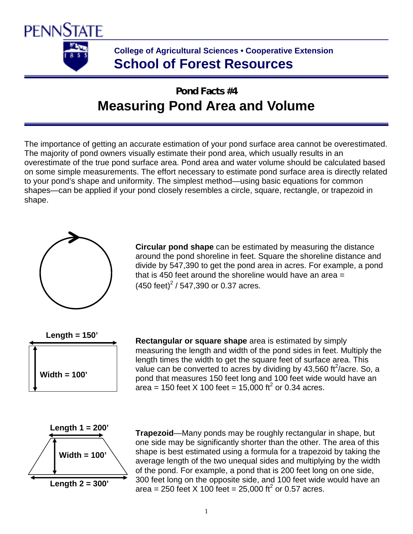

# **College of Agricultural Sciences • Cooperative Extension School of Forest Resources**

# **Pond Facts #4 Measuring Pond Area and Volume**

The importance of getting an accurate estimation of your pond surface area cannot be overestimated. The majority of pond owners visually estimate their pond area, which usually results in an overestimate of the true pond surface area. Pond area and water volume should be calculated based on some simple measurements. The effort necessary to estimate pond surface area is directly related to your pond's shape and uniformity. The simplest method—using basic equations for common shapes—can be applied if your pond closely resembles a circle, square, rectangle, or trapezoid in shape.



**Circular pond shape** can be estimated by measuring the distance around the pond shoreline in feet. Square the shoreline distance and divide by 547,390 to get the pond area in acres. For example, a pond that is 450 feet around the shoreline would have an area =  $(450 \text{ feet})^2$  / 547,390 or 0.37 acres.



**Rectangular or square shape** area is estimated by simply measuring the length and width of the pond sides in feet. Multiply the length times the width to get the square feet of surface area. This value can be converted to acres by dividing by 43,560 ft $^2$ /acre. So, a pond that measures 150 feet long and 100 feet wide would have an area = 150 feet X 100 feet = 15,000 ft<sup>2</sup> or 0.34 acres.



**Trapezoid**—Many ponds may be roughly rectangular in shape, but one side may be significantly shorter than the other. The area of this shape is best estimated using a formula for a trapezoid by taking the average length of the two unequal sides and multiplying by the width of the pond. For example, a pond that is 200 feet long on one side, 300 feet long on the opposite side, and 100 feet wide would have an area = 250 feet X 100 feet = 25,000 ft<sup>2</sup> or 0.57 acres.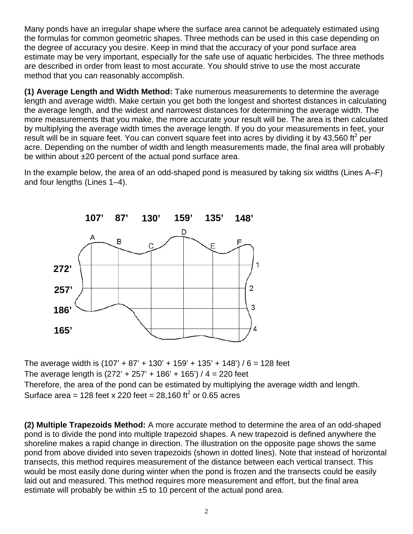Many ponds have an irregular shape where the surface area cannot be adequately estimated using the formulas for common geometric shapes. Three methods can be used in this case depending on the degree of accuracy you desire. Keep in mind that the accuracy of your pond surface area estimate may be very important, especially for the safe use of aquatic herbicides. The three methods are described in order from least to most accurate. You should strive to use the most accurate method that you can reasonably accomplish.

**(1) Average Length and Width Method:** Take numerous measurements to determine the average length and average width. Make certain you get both the longest and shortest distances in calculating the average length, and the widest and narrowest distances for determining the average width. The more measurements that you make, the more accurate your result will be. The area is then calculated by multiplying the average width times the average length. If you do your measurements in feet, your result will be in square feet. You can convert square feet into acres by dividing it by 43,560 ft<sup>2</sup> per acre. Depending on the number of width and length measurements made, the final area will probably be within about ±20 percent of the actual pond surface area.

In the example below, the area of an odd-shaped pond is measured by taking six widths (Lines A–F) and four lengths (Lines 1–4).



The average width is  $(107' + 87' + 130' + 159' + 135' + 148') / 6 = 128$  feet The average length is  $(272' + 257' + 186' + 165') / 4 = 220$  feet Therefore, the area of the pond can be estimated by multiplying the average width and length. Surface area = 128 feet x 220 feet = 28,160 ft<sup>2</sup> or 0.65 acres

**(2) Multiple Trapezoids Method:** A more accurate method to determine the area of an odd-shaped pond is to divide the pond into multiple trapezoid shapes. A new trapezoid is defined anywhere the shoreline makes a rapid change in direction. The illustration on the opposite page shows the same pond from above divided into seven trapezoids (shown in dotted lines). Note that instead of horizontal transects, this method requires measurement of the distance between each vertical transect. This would be most easily done during winter when the pond is frozen and the transects could be easily laid out and measured. This method requires more measurement and effort, but the final area estimate will probably be within ±5 to 10 percent of the actual pond area.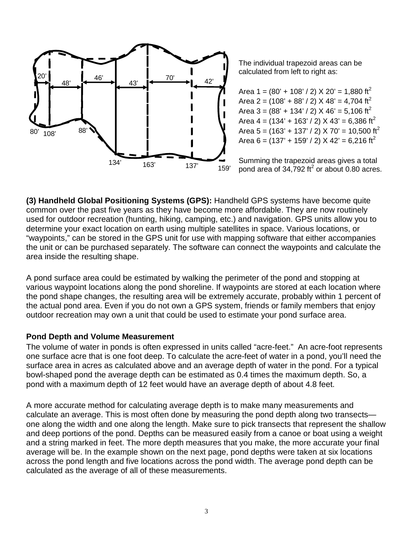

The individual trapezoid areas can be calculated from left to right as:

Area 1 =  $(80' + 108' / 2)$  X 20' = 1,880 ft<sup>2</sup> Area 2 =  $(108' + 88' / 2)$  X 48' = 4.704 ft<sup>2</sup> Area 3 =  $(88' + 134' / 2)$  X 46' = 5,106 ft<sup>2</sup> Area  $4 = (134' + 163' / 2) \times 43' = 6,386 \text{ ft}^2$ Area 5 = (163' + 137' / 2) X 70' = 10,500 ft<sup>2</sup> Area 6 =  $(137' + 159' / 2)$  X 42' = 6,216 ft<sup>2</sup>

Summing the trapezoid areas gives a total pond area of  $34,792$  ft<sup>2</sup> or about 0.80 acres.

**(3) Handheld Global Positioning Systems (GPS):** Handheld GPS systems have become quite common over the past five years as they have become more affordable. They are now routinely used for outdoor recreation (hunting, hiking, camping, etc.) and navigation. GPS units allow you to determine your exact location on earth using multiple satellites in space. Various locations, or "waypoints," can be stored in the GPS unit for use with mapping software that either accompanies the unit or can be purchased separately. The software can connect the waypoints and calculate the area inside the resulting shape.

A pond surface area could be estimated by walking the perimeter of the pond and stopping at various waypoint locations along the pond shoreline. If waypoints are stored at each location where the pond shape changes, the resulting area will be extremely accurate, probably within 1 percent of the actual pond area. Even if you do not own a GPS system, friends or family members that enjoy outdoor recreation may own a unit that could be used to estimate your pond surface area.

# **Pond Depth and Volume Measurement**

The volume of water in ponds is often expressed in units called "acre-feet." An acre-foot represents one surface acre that is one foot deep. To calculate the acre-feet of water in a pond, you'll need the surface area in acres as calculated above and an average depth of water in the pond. For a typical bowl-shaped pond the average depth can be estimated as 0.4 times the maximum depth. So, a pond with a maximum depth of 12 feet would have an average depth of about 4.8 feet.

A more accurate method for calculating average depth is to make many measurements and calculate an average. This is most often done by measuring the pond depth along two transects one along the width and one along the length. Make sure to pick transects that represent the shallow and deep portions of the pond. Depths can be measured easily from a canoe or boat using a weight and a string marked in feet. The more depth measures that you make, the more accurate your final average will be. In the example shown on the next page, pond depths were taken at six locations across the pond length and five locations across the pond width. The average pond depth can be calculated as the average of all of these measurements.